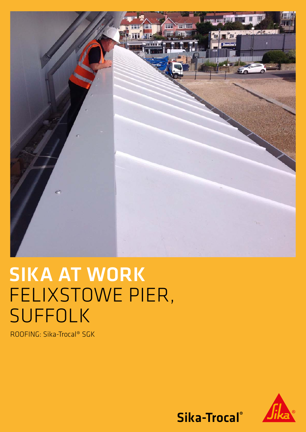

## SIKA AT WORK FELIXSTOWE PIER, SUFFOLK

ROOFING: Sika-Trocal® SGK



Sika-Trocal®